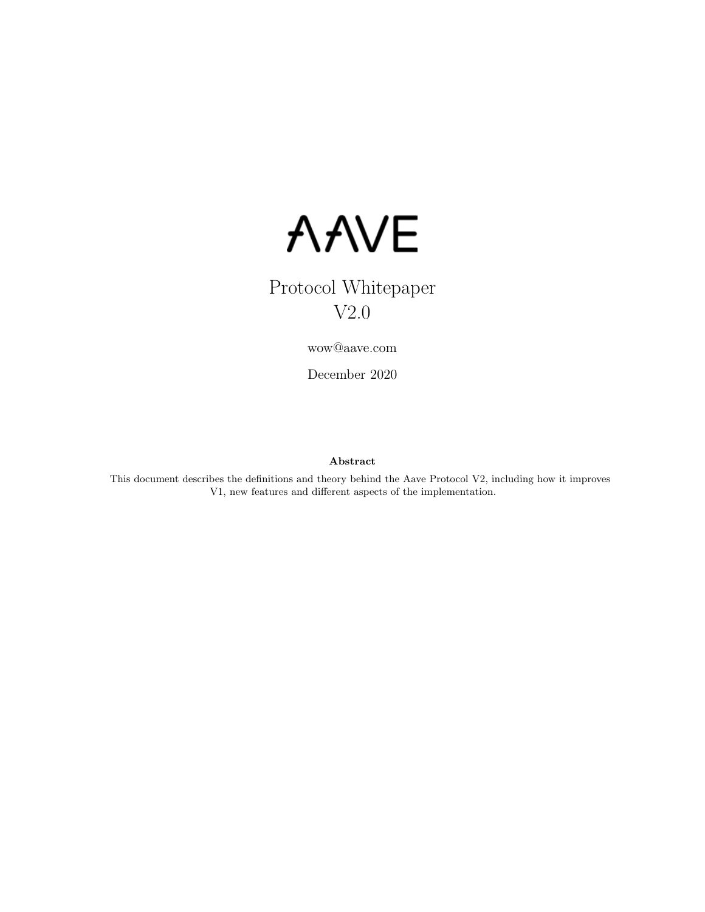

# Protocol Whitepaper V2.0

wow@aave.com

December 2020

#### Abstract

This document describes the definitions and theory behind the Aave Protocol V2, including how it improves V1, new features and different aspects of the implementation.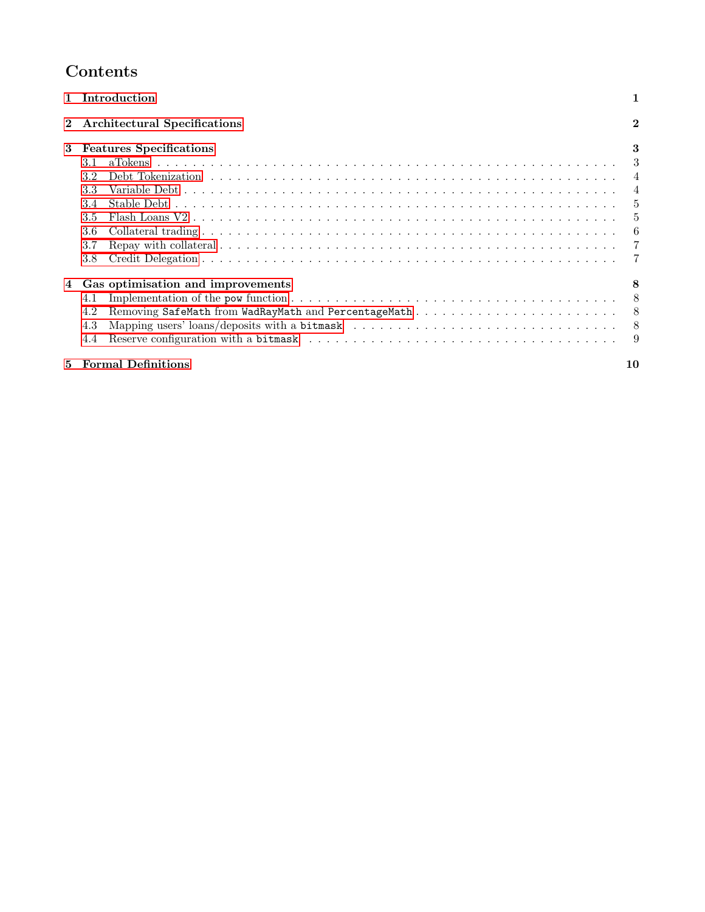# Contents

|   | Introduction                                                                                                                                                                                                                                                                                                                    |                                                                                         |  |  |
|---|---------------------------------------------------------------------------------------------------------------------------------------------------------------------------------------------------------------------------------------------------------------------------------------------------------------------------------|-----------------------------------------------------------------------------------------|--|--|
|   | $\overline{2}$<br>Architectural Specifications                                                                                                                                                                                                                                                                                  |                                                                                         |  |  |
| 3 | <b>Features Specifications</b><br>3.1<br>3.2<br>3.4<br>3.5<br>3.6<br>3.7<br>3.8                                                                                                                                                                                                                                                 | 3<br>$\overline{4}$<br>$\overline{4}$<br>$\frac{5}{2}$<br>$\overline{5}$<br>6<br>7<br>7 |  |  |
|   | Gas optimisation and improvements<br>Implementation of the pow function $\ldots \ldots \ldots \ldots \ldots \ldots \ldots \ldots \ldots \ldots \ldots \ldots \ldots$<br>4.1<br>4.2<br>Mapping users' loans/deposits with a bitmask $\ldots \ldots \ldots \ldots \ldots \ldots \ldots \ldots \ldots \ldots \ldots$<br>4.3<br>4.4 | 8<br>-9                                                                                 |  |  |
| 5 | <b>Formal Definitions</b>                                                                                                                                                                                                                                                                                                       | 10                                                                                      |  |  |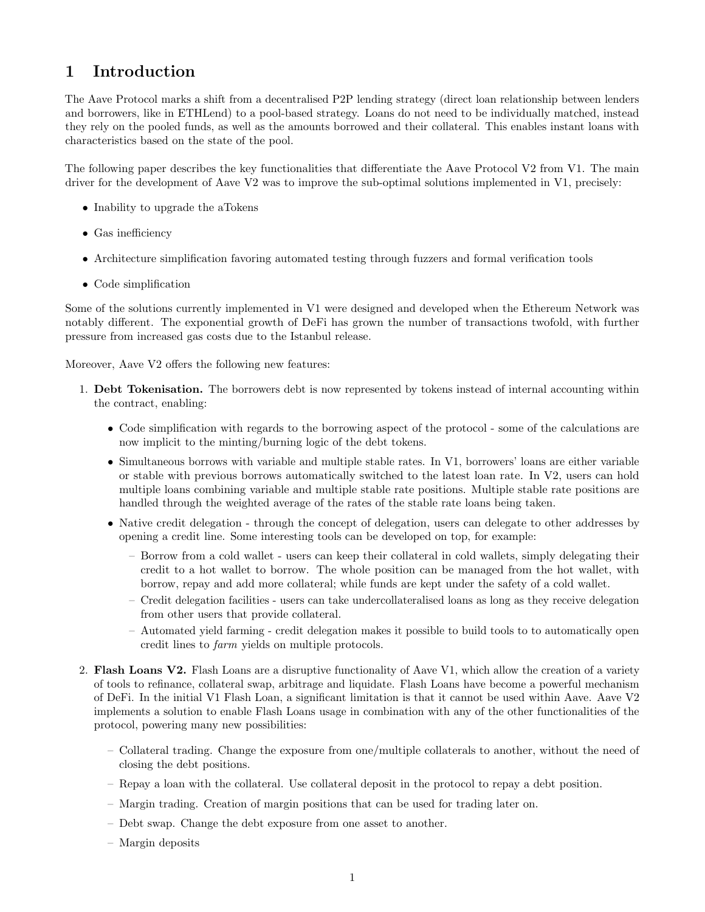# <span id="page-2-0"></span>1 Introduction

The Aave Protocol marks a shift from a decentralised P2P lending strategy (direct loan relationship between lenders and borrowers, like in ETHLend) to a pool-based strategy. Loans do not need to be individually matched, instead they rely on the pooled funds, as well as the amounts borrowed and their collateral. This enables instant loans with characteristics based on the state of the pool.

The following paper describes the key functionalities that differentiate the Aave Protocol V2 from V1. The main driver for the development of Aave V2 was to improve the sub-optimal solutions implemented in V1, precisely:

- Inability to upgrade the aTokens
- Gas inefficiency
- Architecture simplification favoring automated testing through fuzzers and formal verification tools
- Code simplification

Some of the solutions currently implemented in V1 were designed and developed when the Ethereum Network was notably different. The exponential growth of DeFi has grown the number of transactions twofold, with further pressure from increased gas costs due to the Istanbul release.

Moreover, Aave V2 offers the following new features:

- 1. Debt Tokenisation. The borrowers debt is now represented by tokens instead of internal accounting within the contract, enabling:
	- Code simplification with regards to the borrowing aspect of the protocol some of the calculations are now implicit to the minting/burning logic of the debt tokens.
	- Simultaneous borrows with variable and multiple stable rates. In V1, borrowers' loans are either variable or stable with previous borrows automatically switched to the latest loan rate. In V2, users can hold multiple loans combining variable and multiple stable rate positions. Multiple stable rate positions are handled through the weighted average of the rates of the stable rate loans being taken.
	- Native credit delegation through the concept of delegation, users can delegate to other addresses by opening a credit line. Some interesting tools can be developed on top, for example:
		- Borrow from a cold wallet users can keep their collateral in cold wallets, simply delegating their credit to a hot wallet to borrow. The whole position can be managed from the hot wallet, with borrow, repay and add more collateral; while funds are kept under the safety of a cold wallet.
		- Credit delegation facilities users can take undercollateralised loans as long as they receive delegation from other users that provide collateral.
		- Automated yield farming credit delegation makes it possible to build tools to to automatically open credit lines to farm yields on multiple protocols.
- 2. Flash Loans V2. Flash Loans are a disruptive functionality of Aave V1, which allow the creation of a variety of tools to refinance, collateral swap, arbitrage and liquidate. Flash Loans have become a powerful mechanism of DeFi. In the initial V1 Flash Loan, a significant limitation is that it cannot be used within Aave. Aave V2 implements a solution to enable Flash Loans usage in combination with any of the other functionalities of the protocol, powering many new possibilities:
	- Collateral trading. Change the exposure from one/multiple collaterals to another, without the need of closing the debt positions.
	- Repay a loan with the collateral. Use collateral deposit in the protocol to repay a debt position.
	- Margin trading. Creation of margin positions that can be used for trading later on.
	- Debt swap. Change the debt exposure from one asset to another.
	- Margin deposits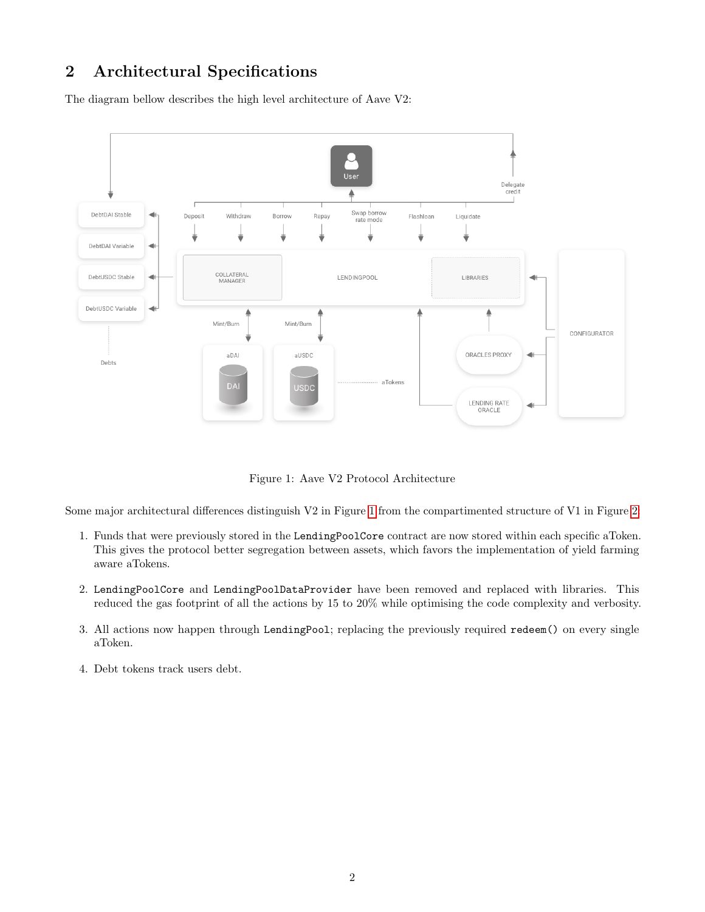# <span id="page-3-0"></span>2 Architectural Specifications

The diagram bellow describes the high level architecture of Aave V2:



<span id="page-3-1"></span>Figure 1: Aave V2 Protocol Architecture

Some major architectural differences distinguish V2 in Figure [1](#page-3-1) from the compartimented structure of V1 in Figure [2:](#page-4-2)

- 1. Funds that were previously stored in the LendingPoolCore contract are now stored within each specific aToken. This gives the protocol better segregation between assets, which favors the implementation of yield farming aware aTokens.
- 2. LendingPoolCore and LendingPoolDataProvider have been removed and replaced with libraries. This reduced the gas footprint of all the actions by 15 to 20% while optimising the code complexity and verbosity.
- 3. All actions now happen through LendingPool; replacing the previously required redeem() on every single aToken.
- 4. Debt tokens track users debt.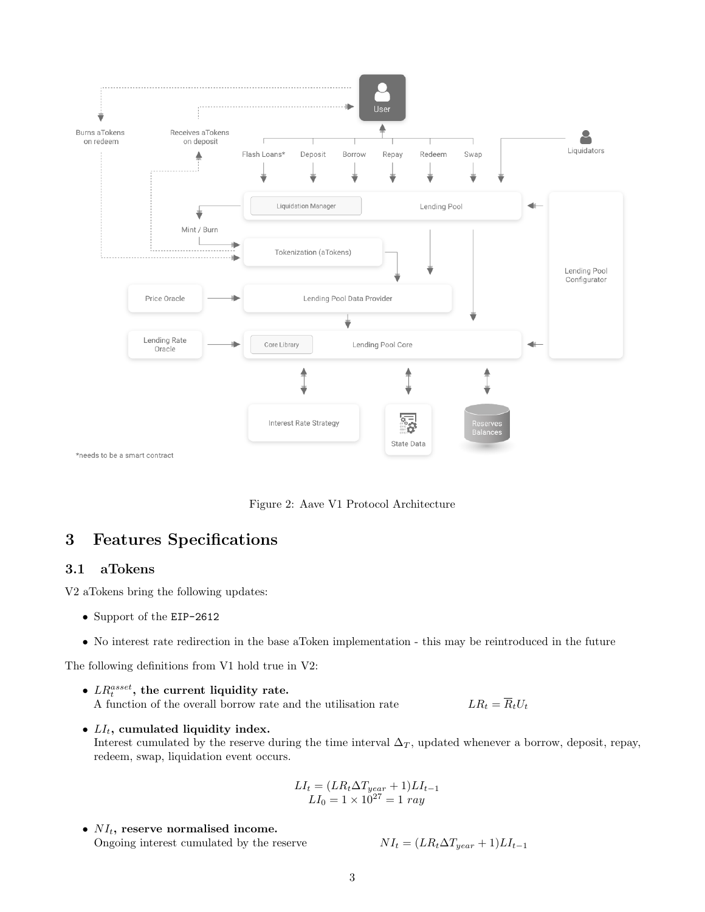

<span id="page-4-2"></span>Figure 2: Aave V1 Protocol Architecture

# <span id="page-4-0"></span>3 Features Specifications

# <span id="page-4-1"></span>3.1 aTokens

V2 aTokens bring the following updates:

- Support of the EIP-2612
- No interest rate redirection in the base aToken implementation this may be reintroduced in the future

The following definitions from V1 hold true in V2:

- $\bullet$   $\ _{LR_{t}^{asset}},$  the current liquidity rate. A function of the overall borrow rate and the utilisation rate  $LR_t = \overline{R}_t U_t$
- $LI_t$ , cumulated liquidity index. Interest cumulated by the reserve during the time interval  $\Delta_T$ , updated whenever a borrow, deposit, repay, redeem, swap, liquidation event occurs.

$$
LI_t = (LR_t \Delta T_{year} + 1)LI_{t-1}
$$
  

$$
LI_0 = 1 \times 10^{27} = 1 ray
$$

•  $NI_t$ , reserve normalised income. Ongoing interest cumulated by the reserve

$$
NI_t = (LR_t \Delta T_{near} + 1)LI_{t-1}
$$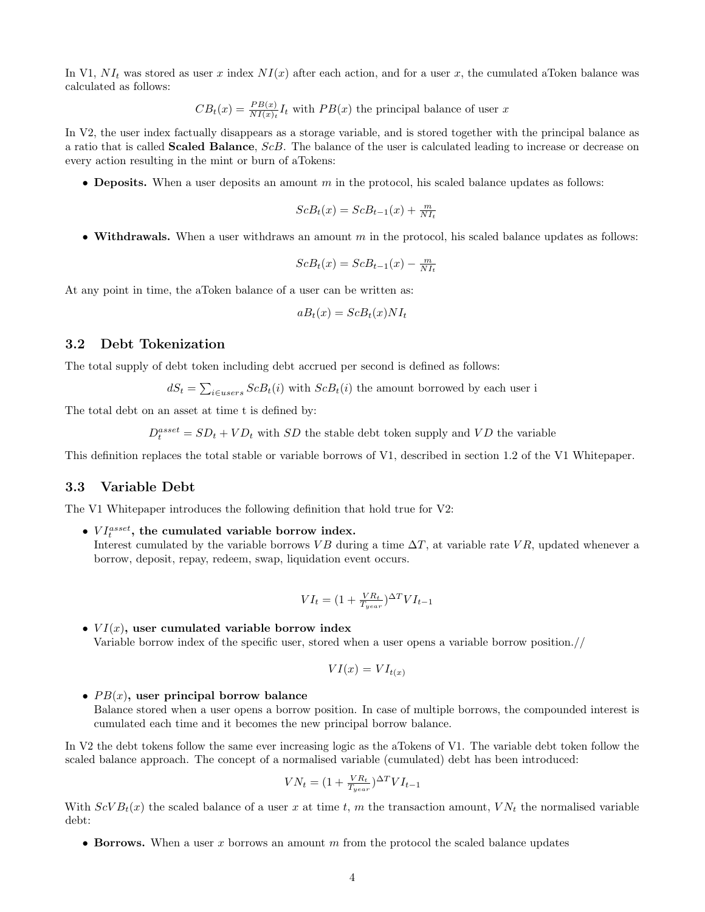In V1,  $NI_t$  was stored as user x index  $NI(x)$  after each action, and for a user x, the cumulated aToken balance was calculated as follows:

$$
CB_t(x) = \frac{PB(x)}{NI(x)_t} I_t
$$
 with  $PB(x)$  the principal balance of user  $x$ 

In V2, the user index factually disappears as a storage variable, and is stored together with the principal balance as a ratio that is called Scaled Balance, ScB. The balance of the user is calculated leading to increase or decrease on every action resulting in the mint or burn of aTokens:

• Deposits. When a user deposits an amount  $m$  in the protocol, his scaled balance updates as follows:

$$
ScB_t(x) = ScB_{t-1}(x) + \frac{m}{N I_t}
$$

• Withdrawals. When a user withdraws an amount  $m$  in the protocol, his scaled balance updates as follows:

$$
ScB_t(x) = ScB_{t-1}(x) - \frac{m}{NI_t}
$$

At any point in time, the aToken balance of a user can be written as:

$$
aB_t(x) = ScB_t(x)NI_t
$$

### <span id="page-5-0"></span>3.2 Debt Tokenization

The total supply of debt token including debt accrued per second is defined as follows:

$$
dS_t = \sum_{i \in users} ScB_t(i)
$$
 with  $ScB_t(i)$  the amount borrowed by each user i

The total debt on an asset at time t is defined by:

 $D_t^{asset} = SD_t + V D_t$  with SD the stable debt token supply and VD the variable

This definition replaces the total stable or variable borrows of V1, described in section 1.2 of the V1 Whitepaper.

### <span id="page-5-1"></span>3.3 Variable Debt

The V1 Whitepaper introduces the following definition that hold true for V2:

•  $VI_t^{asset}$ , the cumulated variable borrow index. Interest cumulated by the variable borrows VB during a time  $\Delta T$ , at variable rate VR, updated whenever a borrow, deposit, repay, redeem, swap, liquidation event occurs.

$$
VI_t = (1 + \frac{VR_t}{T_{near}})^{\Delta T} VI_{t-1}
$$

•  $VI(x)$ , user cumulated variable borrow index Variable borrow index of the specific user, stored when a user opens a variable borrow position.//

$$
VI(x) = VI_{t(x)}
$$

•  $PB(x)$ , user principal borrow balance Balance stored when a user opens a borrow position. In case of multiple borrows, the compounded interest is cumulated each time and it becomes the new principal borrow balance.

In V2 the debt tokens follow the same ever increasing logic as the aTokens of V1. The variable debt token follow the scaled balance approach. The concept of a normalised variable (cumulated) debt has been introduced:

$$
VN_t = (1 + \frac{VR_t}{T_{year}})^{\Delta T} VI_{t-1}
$$

With  $ScVB_t(x)$  the scaled balance of a user x at time t, m the transaction amount,  $VN_t$  the normalised variable debt:

• Borrows. When a user x borrows an amount  $m$  from the protocol the scaled balance updates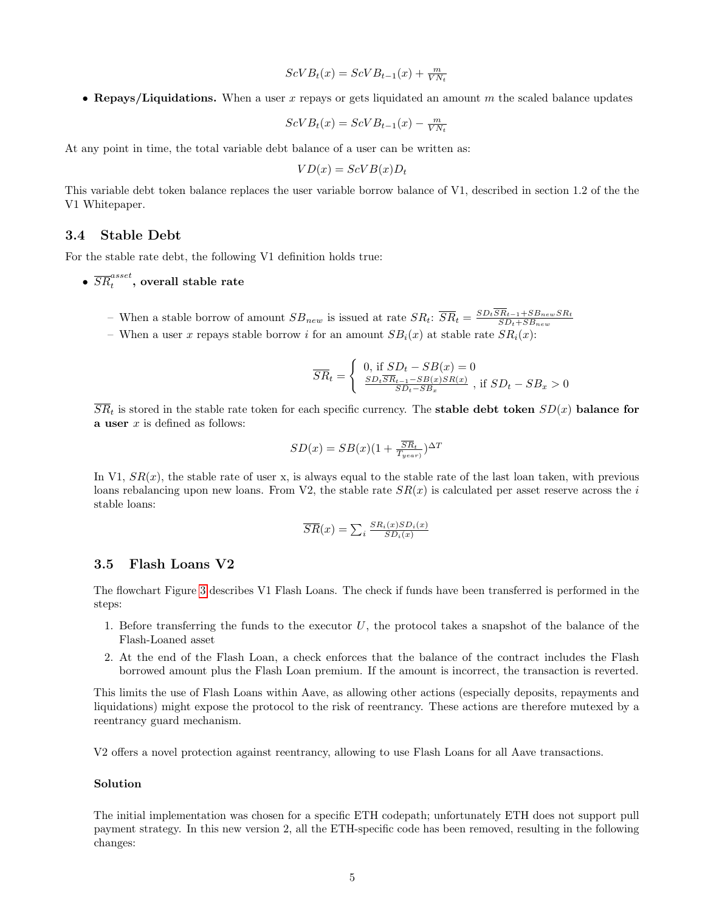- $ScVB_t(x) = ScVB_{t-1}(x) + \frac{m}{VN_t}$
- Repays/Liquidations. When a user x repays or gets liquidated an amount  $m$  the scaled balance updates

$$
ScVB_t(x) = ScVB_{t-1}(x) - \frac{m}{VN_t}
$$

At any point in time, the total variable debt balance of a user can be written as:

$$
VD(x) = ScVB(x)D_t
$$

This variable debt token balance replaces the user variable borrow balance of V1, described in section 1.2 of the the V1 Whitepaper.

#### <span id="page-6-0"></span>3.4 Stable Debt

For the stable rate debt, the following V1 definition holds true:

 $\bullet$   $\overline{SR}^{asset}_t,$  overall stable rate

- When a stable borrow of amount  $SB_{new}$  is issued at rate  $SR_t$ :  $\overline{SR}_t = \frac{SD_t SR_{t-1} + SB_{new} SR_t}{SD_t + SB_{new}}$  $SD_t + SB_{new}$
- When a user x repays stable borrow i for an amount  $SB_i(x)$  at stable rate  $SR_i(x)$ :

$$
\overline{SR}_t = \begin{cases} 0, & \text{if } SD_t - SB(x) = 0\\ \frac{SD_t \overline{SR}_{t-1} - SB(x)SR(x)}{SD_t - SB_x} \text{, if } SD_t - SB_x > 0 \end{cases}
$$

 $\overline{SR}_t$  is stored in the stable rate token for each specific currency. The **stable debt token**  $SD(x)$  **balance for** a user  $x$  is defined as follows:

$$
SD(x) = SB(x)(1 + \frac{\overline{SR}_t}{T_{year}})^{\Delta T}
$$

In V1,  $SR(x)$ , the stable rate of user x, is always equal to the stable rate of the last loan taken, with previous loans rebalancing upon new loans. From V2, the stable rate  $SR(x)$  is calculated per asset reserve across the i stable loans:

$$
\overline{SR}(x) = \sum_{i} \frac{SR_i(x)SD_i(x)}{SD_i(x)}
$$

## <span id="page-6-1"></span>3.5 Flash Loans V2

The flowchart Figure [3](#page-7-1) describes V1 Flash Loans. The check if funds have been transferred is performed in the steps:

- 1. Before transferring the funds to the executor  $U$ , the protocol takes a snapshot of the balance of the Flash-Loaned asset
- 2. At the end of the Flash Loan, a check enforces that the balance of the contract includes the Flash borrowed amount plus the Flash Loan premium. If the amount is incorrect, the transaction is reverted.

This limits the use of Flash Loans within Aave, as allowing other actions (especially deposits, repayments and liquidations) might expose the protocol to the risk of reentrancy. These actions are therefore mutexed by a reentrancy guard mechanism.

V2 offers a novel protection against reentrancy, allowing to use Flash Loans for all Aave transactions.

#### Solution

The initial implementation was chosen for a specific ETH codepath; unfortunately ETH does not support pull payment strategy. In this new version 2, all the ETH-specific code has been removed, resulting in the following changes: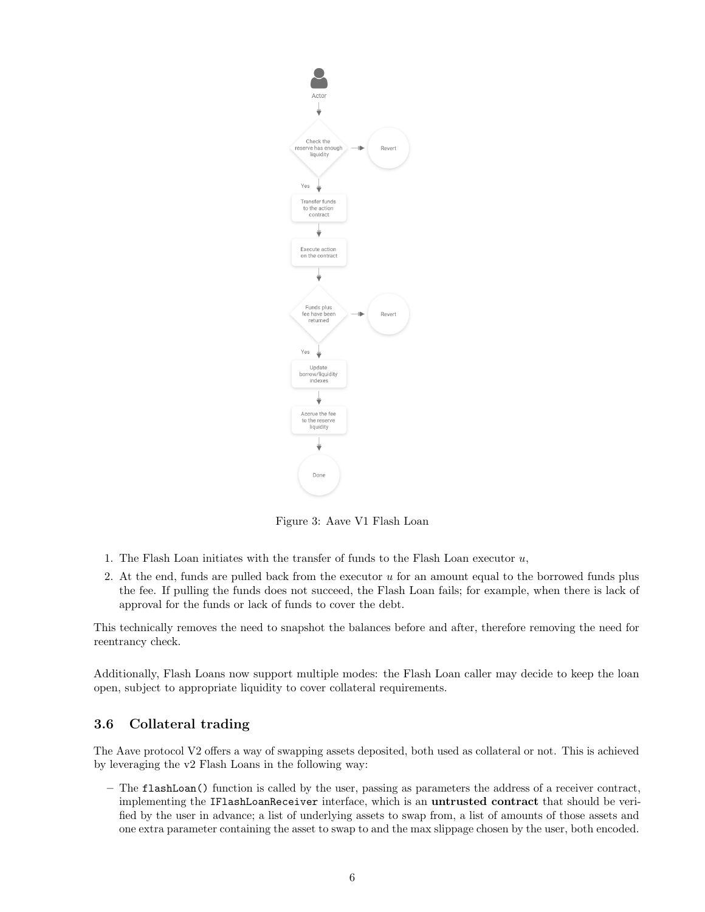

<span id="page-7-1"></span>Figure 3: Aave V1 Flash Loan

- 1. The Flash Loan initiates with the transfer of funds to the Flash Loan executor  $u$ ,
- 2. At the end, funds are pulled back from the executor  $u$  for an amount equal to the borrowed funds plus the fee. If pulling the funds does not succeed, the Flash Loan fails; for example, when there is lack of approval for the funds or lack of funds to cover the debt.

This technically removes the need to snapshot the balances before and after, therefore removing the need for reentrancy check.

Additionally, Flash Loans now support multiple modes: the Flash Loan caller may decide to keep the loan open, subject to appropriate liquidity to cover collateral requirements.

# <span id="page-7-0"></span>3.6 Collateral trading

The Aave protocol V2 offers a way of swapping assets deposited, both used as collateral or not. This is achieved by leveraging the v2 Flash Loans in the following way:

– The flashLoan() function is called by the user, passing as parameters the address of a receiver contract, implementing the IFlashLoanReceiver interface, which is an untrusted contract that should be verified by the user in advance; a list of underlying assets to swap from, a list of amounts of those assets and one extra parameter containing the asset to swap to and the max slippage chosen by the user, both encoded.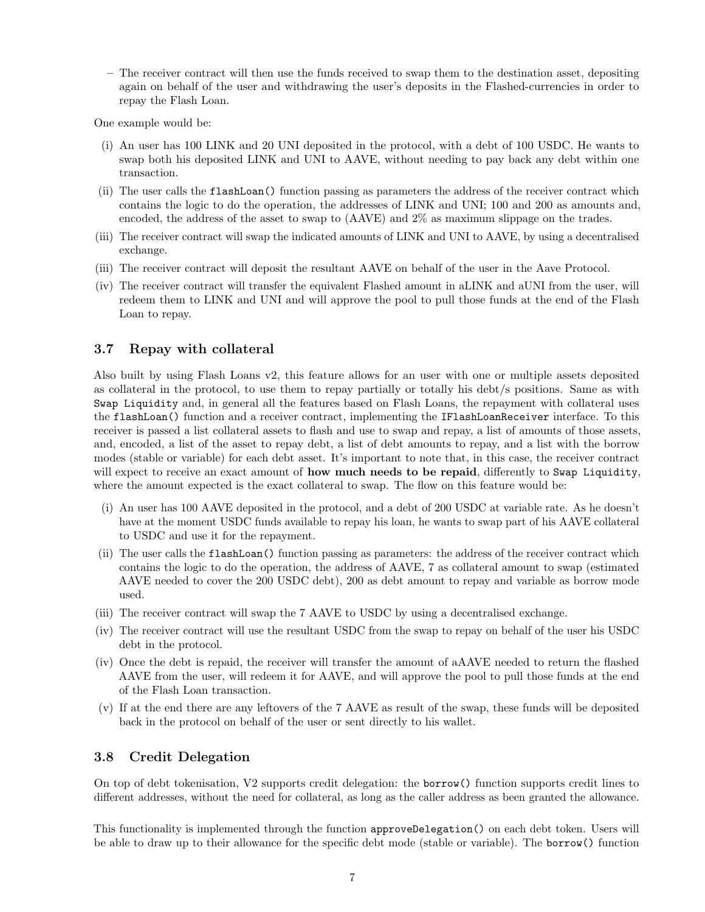– The receiver contract will then use the funds received to swap them to the destination asset, depositing again on behalf of the user and withdrawing the user's deposits in the Flashed-currencies in order to repay the Flash Loan.

One example would be:

- (i) An user has 100 LINK and 20 UNI deposited in the protocol, with a debt of 100 USDC. He wants to swap both his deposited LINK and UNI to AAVE, without needing to pay back any debt within one transaction.
- (ii) The user calls the flashLoan() function passing as parameters the address of the receiver contract which contains the logic to do the operation, the addresses of LINK and UNI; 100 and 200 as amounts and, encoded, the address of the asset to swap to (AAVE) and 2% as maximum slippage on the trades.
- (iii) The receiver contract will swap the indicated amounts of LINK and UNI to AAVE, by using a decentralised exchange.
- (iii) The receiver contract will deposit the resultant AAVE on behalf of the user in the Aave Protocol.
- (iv) The receiver contract will transfer the equivalent Flashed amount in aLINK and aUNI from the user, will redeem them to LINK and UNI and will approve the pool to pull those funds at the end of the Flash Loan to repay.

## <span id="page-8-0"></span>3.7 Repay with collateral

Also built by using Flash Loans v2, this feature allows for an user with one or multiple assets deposited as collateral in the protocol, to use them to repay partially or totally his debt/s positions. Same as with Swap Liquidity and, in general all the features based on Flash Loans, the repayment with collateral uses the flashLoan() function and a receiver contract, implementing the IFlashLoanReceiver interface. To this receiver is passed a list collateral assets to flash and use to swap and repay, a list of amounts of those assets, and, encoded, a list of the asset to repay debt, a list of debt amounts to repay, and a list with the borrow modes (stable or variable) for each debt asset. It's important to note that, in this case, the receiver contract will expect to receive an exact amount of **how much needs to be repaid**, differently to Swap Liquidity, where the amount expected is the exact collateral to swap. The flow on this feature would be:

- (i) An user has 100 AAVE deposited in the protocol, and a debt of 200 USDC at variable rate. As he doesn't have at the moment USDC funds available to repay his loan, he wants to swap part of his AAVE collateral to USDC and use it for the repayment.
- (ii) The user calls the flashLoan() function passing as parameters: the address of the receiver contract which contains the logic to do the operation, the address of AAVE, 7 as collateral amount to swap (estimated AAVE needed to cover the 200 USDC debt), 200 as debt amount to repay and variable as borrow mode used.
- (iii) The receiver contract will swap the 7 AAVE to USDC by using a decentralised exchange.
- (iv) The receiver contract will use the resultant USDC from the swap to repay on behalf of the user his USDC debt in the protocol.
- (iv) Once the debt is repaid, the receiver will transfer the amount of aAAVE needed to return the flashed AAVE from the user, will redeem it for AAVE, and will approve the pool to pull those funds at the end of the Flash Loan transaction.
- (v) If at the end there are any leftovers of the 7 AAVE as result of the swap, these funds will be deposited back in the protocol on behalf of the user or sent directly to his wallet.

### <span id="page-8-1"></span>3.8 Credit Delegation

On top of debt tokenisation, V2 supports credit delegation: the borrow() function supports credit lines to different addresses, without the need for collateral, as long as the caller address as been granted the allowance.

This functionality is implemented through the function approveDelegation() on each debt token. Users will be able to draw up to their allowance for the specific debt mode (stable or variable). The borrow() function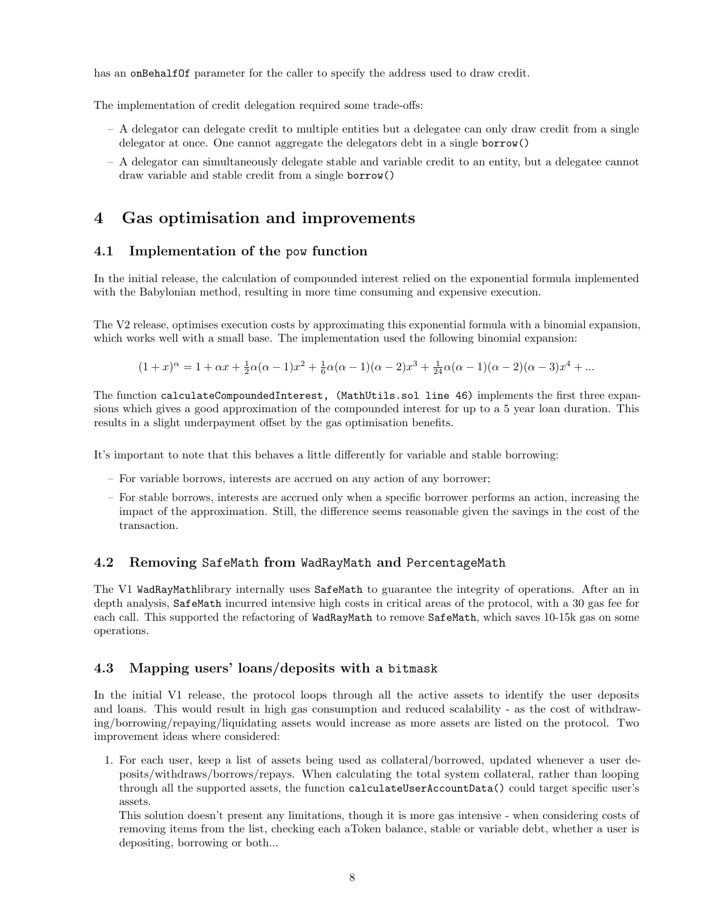has an onBehalfOf parameter for the caller to specify the address used to draw credit.

The implementation of credit delegation required some trade-offs:

- A delegator can delegate credit to multiple entities but a delegatee can only draw credit from a single delegator at once. One cannot aggregate the delegators debt in a single borrow()
- A delegator can simultaneously delegate stable and variable credit to an entity, but a delegatee cannot draw variable and stable credit from a single borrow()

# <span id="page-9-0"></span>4 Gas optimisation and improvements

### <span id="page-9-1"></span>4.1 Implementation of the pow function

In the initial release, the calculation of compounded interest relied on the exponential formula implemented with the Babylonian method, resulting in more time consuming and expensive execution.

The V2 release, optimises execution costs by approximating this exponential formula with a binomial expansion, which works well with a small base. The implementation used the following binomial expansion:

$$
(1+x)^{\alpha} = 1 + \alpha x + \frac{1}{2}\alpha(\alpha-1)x^2 + \frac{1}{6}\alpha(\alpha-1)(\alpha-2)x^3 + \frac{1}{24}\alpha(\alpha-1)(\alpha-2)(\alpha-3)x^4 + \dots
$$

The function calculateCompoundedInterest, (MathUtils.sol line 46) implements the first three expansions which gives a good approximation of the compounded interest for up to a 5 year loan duration. This results in a slight underpayment offset by the gas optimisation benefits.

It's important to note that this behaves a little differently for variable and stable borrowing:

- For variable borrows, interests are accrued on any action of any borrower;
- For stable borrows, interests are accrued only when a specific borrower performs an action, increasing the impact of the approximation. Still, the difference seems reasonable given the savings in the cost of the transaction.

# <span id="page-9-2"></span>4.2 Removing SafeMath from WadRayMath and PercentageMath

The V1 WadRayMathlibrary internally uses SafeMath to guarantee the integrity of operations. After an in depth analysis, SafeMath incurred intensive high costs in critical areas of the protocol, with a 30 gas fee for each call. This supported the refactoring of WadRayMath to remove SafeMath, which saves 10-15k gas on some operations.

# <span id="page-9-3"></span>4.3 Mapping users' loans/deposits with a bitmask

In the initial V1 release, the protocol loops through all the active assets to identify the user deposits and loans. This would result in high gas consumption and reduced scalability - as the cost of withdrawing/borrowing/repaying/liquidating assets would increase as more assets are listed on the protocol. Two improvement ideas where considered:

1. For each user, keep a list of assets being used as collateral/borrowed, updated whenever a user deposits/withdraws/borrows/repays. When calculating the total system collateral, rather than looping through all the supported assets, the function calculateUserAccountData() could target specific user's assets.

This solution doesn't present any limitations, though it is more gas intensive - when considering costs of removing items from the list, checking each aToken balance, stable or variable debt, whether a user is depositing, borrowing or both...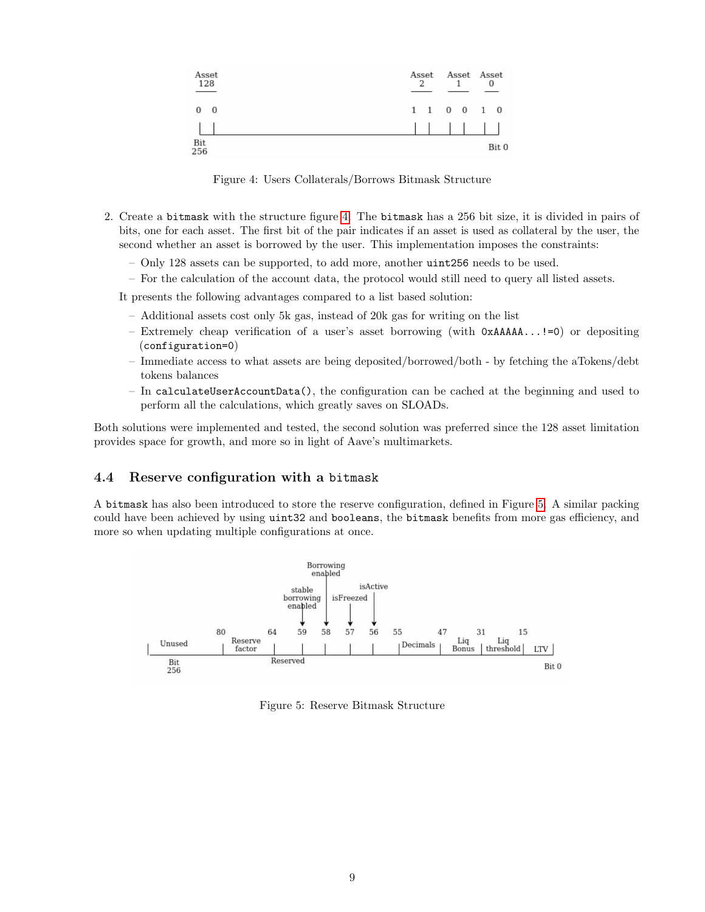

<span id="page-10-1"></span>Figure 4: Users Collaterals/Borrows Bitmask Structure

- 2. Create a bitmask with the structure figure [4.](#page-10-1) The bitmask has a 256 bit size, it is divided in pairs of bits, one for each asset. The first bit of the pair indicates if an asset is used as collateral by the user, the second whether an asset is borrowed by the user. This implementation imposes the constraints:
	- Only 128 assets can be supported, to add more, another uint256 needs to be used.
	- For the calculation of the account data, the protocol would still need to query all listed assets.

It presents the following advantages compared to a list based solution:

- Additional assets cost only 5k gas, instead of 20k gas for writing on the list
- Extremely cheap verification of a user's asset borrowing (with 0xAAAAA...!=0) or depositing (configuration=0)
- Immediate access to what assets are being deposited/borrowed/both by fetching the aTokens/debt tokens balances
- In calculateUserAccountData(), the configuration can be cached at the beginning and used to perform all the calculations, which greatly saves on SLOADs.

Both solutions were implemented and tested, the second solution was preferred since the 128 asset limitation provides space for growth, and more so in light of Aave's multimarkets.

### <span id="page-10-0"></span>4.4 Reserve configuration with a bitmask

A bitmask has also been introduced to store the reserve configuration, defined in Figure [5.](#page-10-2) A similar packing could have been achieved by using uint32 and booleans, the bitmask benefits from more gas efficiency, and more so when updating multiple configurations at once.



<span id="page-10-2"></span>Figure 5: Reserve Bitmask Structure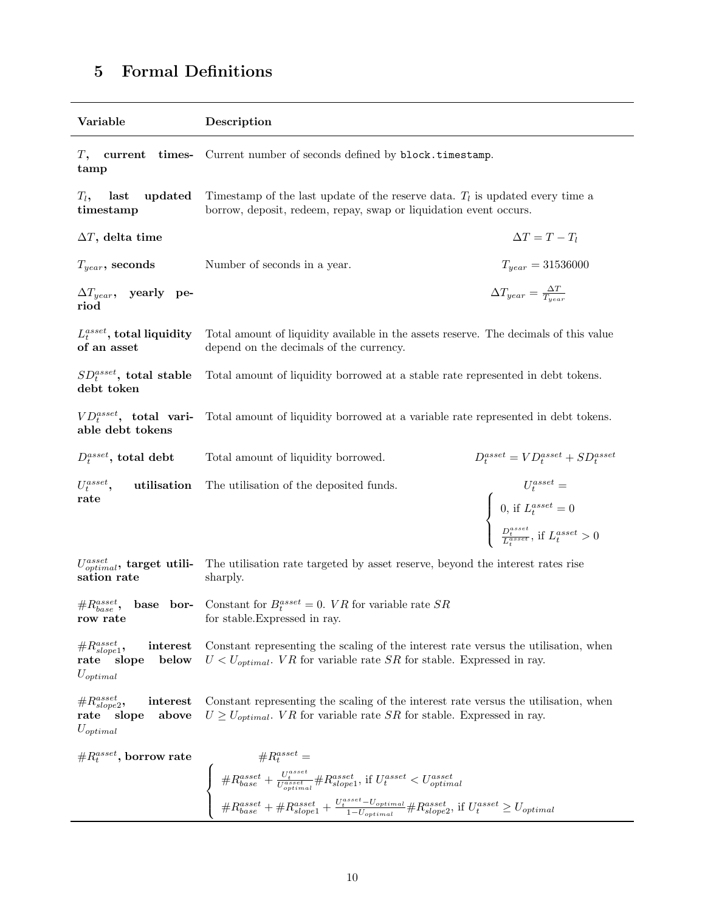#### Variable Description T, current timestamp Current number of seconds defined by block.timestamp.  $T_l$ , last updated timestamp Timestamp of the last update of the reserve data.  $T_l$  is updated every time a borrow, deposit, redeem, repay, swap or liquidation event occurs.  $\Delta T$ , delta time  $\Delta T = T - T_l$  $T_{year}$ , seconds Number of seconds in a year.  $T_{year} = 31536000$  $\Delta T_{year}$ , yearly period  $\Delta T_{year} = \frac{\Delta T}{T_{year}}$  $L_t^{asset}, {\rm total~liquidity}$ of an asset Total amount of liquidity available in the assets reserve. The decimals of this value depend on the decimals of the currency.  $SD_t^{asset}$ , total stable debt token Total amount of liquidity borrowed at a stable rate represented in debt tokens.  $VD_t^{asset}$ , total variable debt tokens Total amount of liquidity borrowed at a variable rate represented in debt tokens.  $D_t^{asset}$ Total amount of liquidity borrowed.  $t_t^{asset} = VD_t^{asset} + SD_t^{asset}$  $U_t^{asset}$ , utilisation rate The utilisation of the deposited funds.  $U_t^{asset} =$  $\int$  $\overline{\mathcal{L}}$ 0, if  $L_t^{asset} = 0$  $\frac{D_t^{asset}}{L_t^{asset}}$ , if  $L_t^{asset} > 0$  $U_{optimal}^{asset},~\mathrm{target}~~\mathrm{utili}$ sation rate The utilisation rate targeted by asset reserve, beyond the interest rates rise sharply.  $\#R_{base}^{asset},$ base borrow rate Constant for  $B_t^{asset} = 0$ . *VR* for variable rate *SR* for stable.Expressed in ray.  $\#R_{slope1}^{asset}$ , interest rate slope below  $U_{optimal}$ Constant representing the scaling of the interest rate versus the utilisation, when  $U < U_{\text{optimal}}$ . VR for variable rate SR for stable. Expressed in ray.  $\#R_{slope2}^{asset}$ , interest rate slope above  $U_{optimal}$ Constant representing the scaling of the interest rate versus the utilisation, when  $U \ge U_{optimal}$ . *VR* for variable rate *SR* for stable. Expressed in ray.  $\#R_t^{asset}$  $\text{, borrow rate} \quad \mathcal{H}^{asset}_t = \int_{\text{I}^{asset}}$  $\int$  $\mathcal{L}$  $\#R_{base}^{asset} + \frac{U_t^{asset}}{U_{optimal}^{asset}} \#R_{slope1}^{asset}, \, \text{if} \; U_t^{asset} < U_{optimal}^{asset}$  $\#R_{base}^{asset} + \#R_{slope1}^{asset} + \frac{U_t^{asset} - U_{optimal}}{1-U_{optimal}} \#R_{slope2}^{asset}$ , if  $U_t^{asset} \ge U_{optimal}$

# <span id="page-11-0"></span>5 Formal Definitions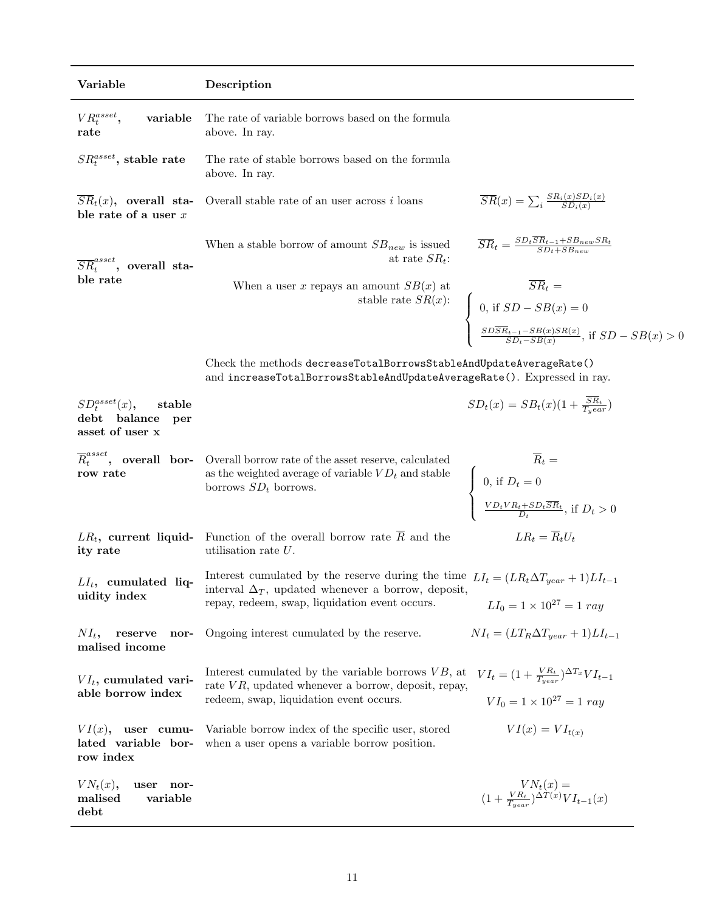| Variable                                                                            | Description                                                                                                                                                                                                                        |                                                                                                                                                                                       |
|-------------------------------------------------------------------------------------|------------------------------------------------------------------------------------------------------------------------------------------------------------------------------------------------------------------------------------|---------------------------------------------------------------------------------------------------------------------------------------------------------------------------------------|
| $VR_t^{asset}$ ,<br>variable<br>rate                                                | The rate of variable borrows based on the formula<br>above. In ray.                                                                                                                                                                |                                                                                                                                                                                       |
| $SR_t^{asset}$ , stable rate                                                        | The rate of stable borrows based on the formula<br>above. In ray.                                                                                                                                                                  |                                                                                                                                                                                       |
| $\overline{SR}_t(x)$ , overall sta-<br>ble rate of a user $x$                       | Overall stable rate of an user across $i$ loans                                                                                                                                                                                    | $\overline{SR}(x) = \sum_i \frac{SR_i(x)SD_i(x)}{SD_i(x)}$                                                                                                                            |
| $\overline{SR}^{asset}_t$ , overall sta-<br>ble rate                                | When a stable borrow of amount $SB_{new}$ is issued<br>at rate $SR_t$ :                                                                                                                                                            | $\overline{SR}_t = \frac{SD_t\overline{SR}_{t-1}+SB_{new}SR_t}{SD_t+SB_{new}}$                                                                                                        |
|                                                                                     | When a user x repays an amount $SB(x)$ at                                                                                                                                                                                          | 1 amount $SB(x)$ at<br>stable rate $SR(x)$ :<br>$\begin{cases} 0, \text{ if } SD - SB(x) = 0 \\ \frac{SDSR_{t-1} - SB(x)SR(x)}{SD_t - SB(x)}, \text{ if } SD - SB(x) > 0 \end{cases}$ |
|                                                                                     |                                                                                                                                                                                                                                    |                                                                                                                                                                                       |
|                                                                                     | Check the methods decreaseTotalBorrowsStableAndUpdateAverageRate()<br>and increaseTotalBorrowsStableAndUpdateAverageRate(). Expressed in ray.                                                                                      |                                                                                                                                                                                       |
| $SD_t^{asset}(x)$ ,<br>stable<br>$_{\rm debt}$<br>balance<br>per<br>asset of user x |                                                                                                                                                                                                                                    | $SD_t(x) = SB_t(x)(1 + \frac{\overline{SR}_t}{T_year})$                                                                                                                               |
| row rate                                                                            | $\overline{R}^{asset}_t$ , <b>overall</b> bor- Overall borrow rate of the asset reserve, calculated<br>as the weighted average of variable $VD_t$ and stable<br>$\frac{1}{2}$ concerns $SD_t$ , horrows<br>borrows $SD_t$ borrows. | $\overline{R}_t =$ $\left\{ \begin{array}{l} 0, \text{ if } D_t = 0 \\ \frac{VD_tVR_t + SD_t\overline{SR}_t}{D_t}, \text{ if } D_t > 0 \end{array} \right.$                           |
| $LR_t$ , current liquid-<br>ity rate                                                | Function of the overall borrow rate $\overline{R}$ and the<br>utilisation rate $U$ .                                                                                                                                               | $LR_t = \overline{R}_t U_t$                                                                                                                                                           |
| $LI_t$ , cumulated liq-<br>uidity index                                             | Interest cumulated by the reserve during the time $LI_t = (LR_t\Delta T_{year} + 1)LI_{t-1}$<br>interval $\Delta_T$ , updated whenever a borrow, deposit,<br>repay, redeem, swap, liquidation event occurs.                        | $LI_0 = 1 \times 10^{27} = 1 ray$                                                                                                                                                     |
| $NI_t$ ,<br>reserve<br>nor-<br>malised income                                       | Ongoing interest cumulated by the reserve.                                                                                                                                                                                         | $NI_t = (LT_R \Delta T_{near} + 1)LI_{t-1}$                                                                                                                                           |
| $VI_t$ , cumulated vari-<br>able borrow index                                       | Interest cumulated by the variable borrows $VB$ , at<br>rate $VR$ , updated whenever a borrow, deposit, repay,<br>redeem, swap, liquidation event occurs.                                                                          | $VI_t = (1 + \frac{VR_t}{T_{year}})^{\Delta T_x} VI_{t-1}$<br>$VI_0 = 1 \times 10^{27} = 1 ray$                                                                                       |
| VI(x),<br>user cumu-<br>lated variable bor-<br>row index                            | Variable borrow index of the specific user, stored<br>when a user opens a variable borrow position.                                                                                                                                | $VI(x) = VI_{t(x)}$                                                                                                                                                                   |
| $VN_t(x)$ ,<br>user<br>nor-<br>variable<br>malised<br>debt                          |                                                                                                                                                                                                                                    | $\label{eq:2} \begin{array}{c} VN_t(x)=\\ (1+\frac{VR_t}{T_{year}})^{\Delta T(x)}VI_{t-1}(x) \end{array}$                                                                             |